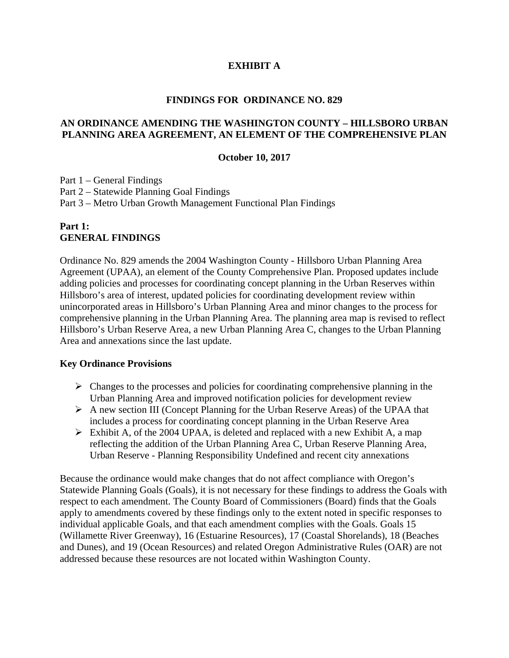## **EXHIBIT A**

#### **FINDINGS FOR ORDINANCE NO. 829**

#### **AN ORDINANCE AMENDING THE WASHINGTON COUNTY – HILLSBORO URBAN PLANNING AREA AGREEMENT, AN ELEMENT OF THE COMPREHENSIVE PLAN**

#### **October 10, 2017**

Part 1 – General Findings Part 2 – Statewide Planning Goal Findings Part 3 – Metro Urban Growth Management Functional Plan Findings

### **Part 1: GENERAL FINDINGS**

Ordinance No. 829 amends the 2004 Washington County - Hillsboro Urban Planning Area Agreement (UPAA), an element of the County Comprehensive Plan. Proposed updates include adding policies and processes for coordinating concept planning in the Urban Reserves within Hillsboro's area of interest, updated policies for coordinating development review within unincorporated areas in Hillsboro's Urban Planning Area and minor changes to the process for comprehensive planning in the Urban Planning Area. The planning area map is revised to reflect Hillsboro's Urban Reserve Area, a new Urban Planning Area C, changes to the Urban Planning Area and annexations since the last update.

#### **Key Ordinance Provisions**

- $\triangleright$  Changes to the processes and policies for coordinating comprehensive planning in the Urban Planning Area and improved notification policies for development review
- $\triangleright$  A new section III (Concept Planning for the Urban Reserve Areas) of the UPAA that includes a process for coordinating concept planning in the Urban Reserve Area
- $\triangleright$  Exhibit A, of the 2004 UPAA, is deleted and replaced with a new Exhibit A, a map reflecting the addition of the Urban Planning Area C, Urban Reserve Planning Area, Urban Reserve - Planning Responsibility Undefined and recent city annexations

Because the ordinance would make changes that do not affect compliance with Oregon's Statewide Planning Goals (Goals), it is not necessary for these findings to address the Goals with respect to each amendment. The County Board of Commissioners (Board) finds that the Goals apply to amendments covered by these findings only to the extent noted in specific responses to individual applicable Goals, and that each amendment complies with the Goals. Goals 15 (Willamette River Greenway), 16 (Estuarine Resources), 17 (Coastal Shorelands), 18 (Beaches and Dunes), and 19 (Ocean Resources) and related Oregon Administrative Rules (OAR) are not addressed because these resources are not located within Washington County.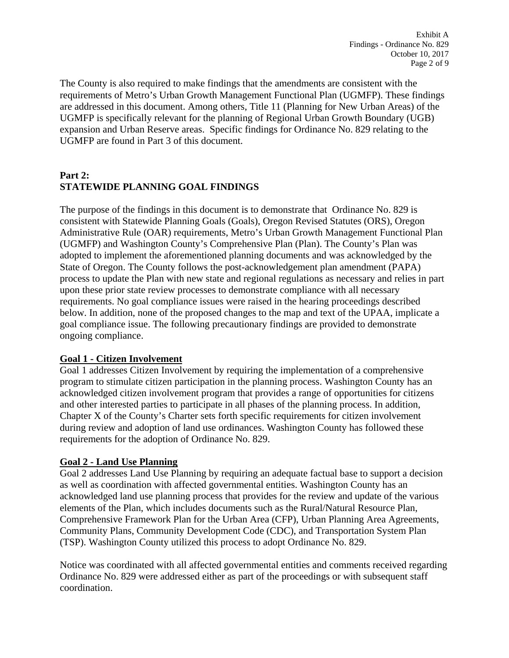The County is also required to make findings that the amendments are consistent with the requirements of Metro's Urban Growth Management Functional Plan (UGMFP). These findings are addressed in this document. Among others, Title 11 (Planning for New Urban Areas) of the UGMFP is specifically relevant for the planning of Regional Urban Growth Boundary (UGB) expansion and Urban Reserve areas. Specific findings for Ordinance No. 829 relating to the UGMFP are found in Part 3 of this document.

# **Part 2: STATEWIDE PLANNING GOAL FINDINGS**

The purpose of the findings in this document is to demonstrate that Ordinance No. 829 is consistent with Statewide Planning Goals (Goals), Oregon Revised Statutes (ORS), Oregon Administrative Rule (OAR) requirements, Metro's Urban Growth Management Functional Plan (UGMFP) and Washington County's Comprehensive Plan (Plan). The County's Plan was adopted to implement the aforementioned planning documents and was acknowledged by the State of Oregon. The County follows the post-acknowledgement plan amendment (PAPA) process to update the Plan with new state and regional regulations as necessary and relies in part upon these prior state review processes to demonstrate compliance with all necessary requirements. No goal compliance issues were raised in the hearing proceedings described below. In addition, none of the proposed changes to the map and text of the UPAA, implicate a goal compliance issue. The following precautionary findings are provided to demonstrate ongoing compliance.

# **Goal 1 - Citizen Involvement**

Goal 1 addresses Citizen Involvement by requiring the implementation of a comprehensive program to stimulate citizen participation in the planning process. Washington County has an acknowledged citizen involvement program that provides a range of opportunities for citizens and other interested parties to participate in all phases of the planning process. In addition, Chapter X of the County's Charter sets forth specific requirements for citizen involvement during review and adoption of land use ordinances. Washington County has followed these requirements for the adoption of Ordinance No. 829.

# **Goal 2 - Land Use Planning**

Goal 2 addresses Land Use Planning by requiring an adequate factual base to support a decision as well as coordination with affected governmental entities. Washington County has an acknowledged land use planning process that provides for the review and update of the various elements of the Plan, which includes documents such as the Rural/Natural Resource Plan, Comprehensive Framework Plan for the Urban Area (CFP), Urban Planning Area Agreements, Community Plans, Community Development Code (CDC), and Transportation System Plan (TSP). Washington County utilized this process to adopt Ordinance No. 829.

Notice was coordinated with all affected governmental entities and comments received regarding Ordinance No. 829 were addressed either as part of the proceedings or with subsequent staff coordination.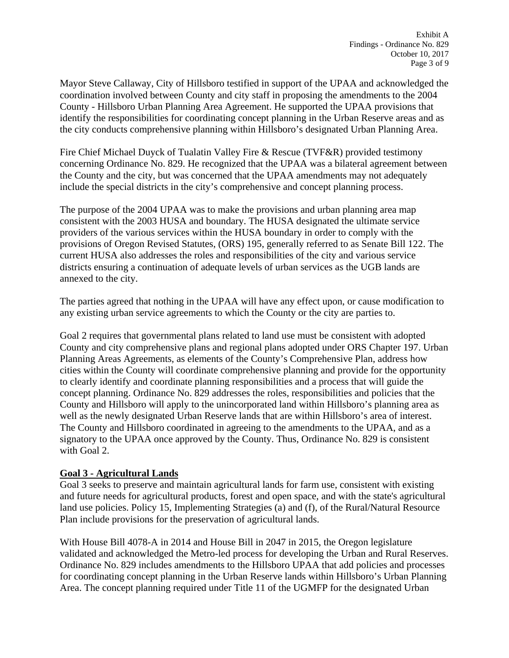Mayor Steve Callaway, City of Hillsboro testified in support of the UPAA and acknowledged the coordination involved between County and city staff in proposing the amendments to the 2004 County - Hillsboro Urban Planning Area Agreement. He supported the UPAA provisions that identify the responsibilities for coordinating concept planning in the Urban Reserve areas and as the city conducts comprehensive planning within Hillsboro's designated Urban Planning Area.

Fire Chief Michael Duyck of Tualatin Valley Fire & Rescue (TVF&R) provided testimony concerning Ordinance No. 829. He recognized that the UPAA was a bilateral agreement between the County and the city, but was concerned that the UPAA amendments may not adequately include the special districts in the city's comprehensive and concept planning process.

The purpose of the 2004 UPAA was to make the provisions and urban planning area map consistent with the 2003 HUSA and boundary. The HUSA designated the ultimate service providers of the various services within the HUSA boundary in order to comply with the provisions of Oregon Revised Statutes, (ORS) 195, generally referred to as Senate Bill 122. The current HUSA also addresses the roles and responsibilities of the city and various service districts ensuring a continuation of adequate levels of urban services as the UGB lands are annexed to the city.

The parties agreed that nothing in the UPAA will have any effect upon, or cause modification to any existing urban service agreements to which the County or the city are parties to.

Goal 2 requires that governmental plans related to land use must be consistent with adopted County and city comprehensive plans and regional plans adopted under ORS Chapter 197. Urban Planning Areas Agreements, as elements of the County's Comprehensive Plan, address how cities within the County will coordinate comprehensive planning and provide for the opportunity to clearly identify and coordinate planning responsibilities and a process that will guide the concept planning. Ordinance No. 829 addresses the roles, responsibilities and policies that the County and Hillsboro will apply to the unincorporated land within Hillsboro's planning area as well as the newly designated Urban Reserve lands that are within Hillsboro's area of interest. The County and Hillsboro coordinated in agreeing to the amendments to the UPAA, and as a signatory to the UPAA once approved by the County. Thus, Ordinance No. 829 is consistent with Goal 2.

# **Goal 3 - Agricultural Lands**

Goal 3 seeks to preserve and maintain agricultural lands for farm use, consistent with existing and future needs for agricultural products, forest and open space, and with the state's agricultural land use policies. Policy 15, Implementing Strategies (a) and (f), of the Rural/Natural Resource Plan include provisions for the preservation of agricultural lands.

With House Bill 4078-A in 2014 and House Bill in 2047 in 2015, the Oregon legislature validated and acknowledged the Metro-led process for developing the Urban and Rural Reserves. Ordinance No. 829 includes amendments to the Hillsboro UPAA that add policies and processes for coordinating concept planning in the Urban Reserve lands within Hillsboro's Urban Planning Area. The concept planning required under Title 11 of the UGMFP for the designated Urban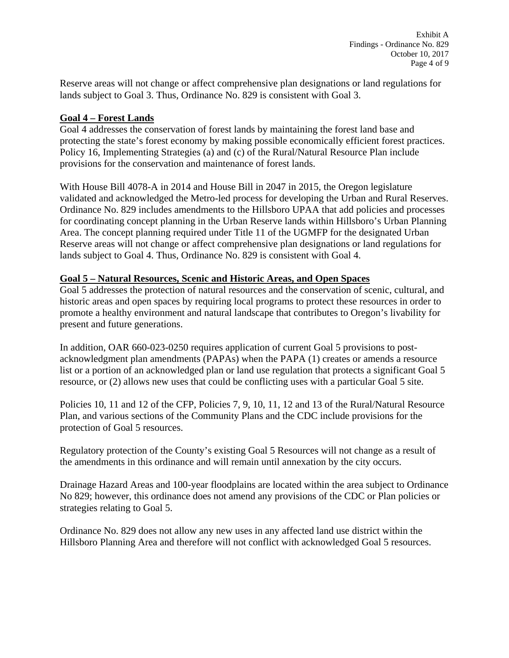Reserve areas will not change or affect comprehensive plan designations or land regulations for lands subject to Goal 3. Thus, Ordinance No. 829 is consistent with Goal 3.

# **Goal 4 – Forest Lands**

Goal 4 addresses the conservation of forest lands by maintaining the forest land base and protecting the state's forest economy by making possible economically efficient forest practices. Policy 16, Implementing Strategies (a) and (c) of the Rural/Natural Resource Plan include provisions for the conservation and maintenance of forest lands.

With House Bill 4078-A in 2014 and House Bill in 2047 in 2015, the Oregon legislature validated and acknowledged the Metro-led process for developing the Urban and Rural Reserves. Ordinance No. 829 includes amendments to the Hillsboro UPAA that add policies and processes for coordinating concept planning in the Urban Reserve lands within Hillsboro's Urban Planning Area. The concept planning required under Title 11 of the UGMFP for the designated Urban Reserve areas will not change or affect comprehensive plan designations or land regulations for lands subject to Goal 4. Thus, Ordinance No. 829 is consistent with Goal 4.

### **Goal 5 – Natural Resources, Scenic and Historic Areas, and Open Spaces**

Goal 5 addresses the protection of natural resources and the conservation of scenic, cultural, and historic areas and open spaces by requiring local programs to protect these resources in order to promote a healthy environment and natural landscape that contributes to Oregon's livability for present and future generations.

In addition, OAR 660-023-0250 requires application of current Goal 5 provisions to postacknowledgment plan amendments (PAPAs) when the PAPA (1) creates or amends a resource list or a portion of an acknowledged plan or land use regulation that protects a significant Goal 5 resource, or (2) allows new uses that could be conflicting uses with a particular Goal 5 site.

Policies 10, 11 and 12 of the CFP, Policies 7, 9, 10, 11, 12 and 13 of the Rural/Natural Resource Plan, and various sections of the Community Plans and the CDC include provisions for the protection of Goal 5 resources.

Regulatory protection of the County's existing Goal 5 Resources will not change as a result of the amendments in this ordinance and will remain until annexation by the city occurs.

Drainage Hazard Areas and 100-year floodplains are located within the area subject to Ordinance No 829; however, this ordinance does not amend any provisions of the CDC or Plan policies or strategies relating to Goal 5.

Ordinance No. 829 does not allow any new uses in any affected land use district within the Hillsboro Planning Area and therefore will not conflict with acknowledged Goal 5 resources.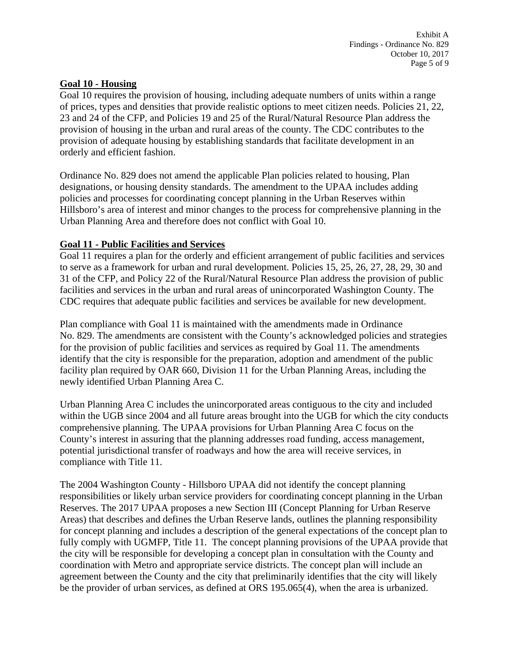### **Goal 10 - Housing**

Goal 10 requires the provision of housing, including adequate numbers of units within a range of prices, types and densities that provide realistic options to meet citizen needs. Policies 21, 22, 23 and 24 of the CFP, and Policies 19 and 25 of the Rural/Natural Resource Plan address the provision of housing in the urban and rural areas of the county. The CDC contributes to the provision of adequate housing by establishing standards that facilitate development in an orderly and efficient fashion.

Ordinance No. 829 does not amend the applicable Plan policies related to housing, Plan designations, or housing density standards. The amendment to the UPAA includes adding policies and processes for coordinating concept planning in the Urban Reserves within Hillsboro's area of interest and minor changes to the process for comprehensive planning in the Urban Planning Area and therefore does not conflict with Goal 10.

### **Goal 11 - Public Facilities and Services**

Goal 11 requires a plan for the orderly and efficient arrangement of public facilities and services to serve as a framework for urban and rural development. Policies 15, 25, 26, 27, 28, 29, 30 and 31 of the CFP, and Policy 22 of the Rural/Natural Resource Plan address the provision of public facilities and services in the urban and rural areas of unincorporated Washington County. The CDC requires that adequate public facilities and services be available for new development.

Plan compliance with Goal 11 is maintained with the amendments made in Ordinance No. 829. The amendments are consistent with the County's acknowledged policies and strategies for the provision of public facilities and services as required by Goal 11. The amendments identify that the city is responsible for the preparation, adoption and amendment of the public facility plan required by OAR 660, Division 11 for the Urban Planning Areas, including the newly identified Urban Planning Area C.

Urban Planning Area C includes the unincorporated areas contiguous to the city and included within the UGB since 2004 and all future areas brought into the UGB for which the city conducts comprehensive planning. The UPAA provisions for Urban Planning Area C focus on the County's interest in assuring that the planning addresses road funding, access management, potential jurisdictional transfer of roadways and how the area will receive services, in compliance with Title 11.

The 2004 Washington County - Hillsboro UPAA did not identify the concept planning responsibilities or likely urban service providers for coordinating concept planning in the Urban Reserves. The 2017 UPAA proposes a new Section III (Concept Planning for Urban Reserve Areas) that describes and defines the Urban Reserve lands, outlines the planning responsibility for concept planning and includes a description of the general expectations of the concept plan to fully comply with UGMFP, Title 11. The concept planning provisions of the UPAA provide that the city will be responsible for developing a concept plan in consultation with the County and coordination with Metro and appropriate service districts. The concept plan will include an agreement between the County and the city that preliminarily identifies that the city will likely be the provider of urban services, as defined at ORS 195.065(4), when the area is urbanized.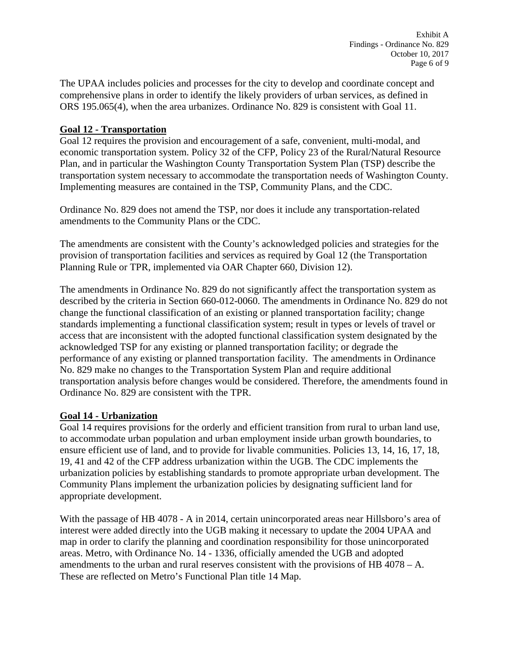The UPAA includes policies and processes for the city to develop and coordinate concept and comprehensive plans in order to identify the likely providers of urban services, as defined in ORS 195.065(4), when the area urbanizes. Ordinance No. 829 is consistent with Goal 11.

## **Goal 12 - Transportation**

Goal 12 requires the provision and encouragement of a safe, convenient, multi-modal, and economic transportation system. Policy 32 of the CFP, Policy 23 of the Rural/Natural Resource Plan, and in particular the Washington County Transportation System Plan (TSP) describe the transportation system necessary to accommodate the transportation needs of Washington County. Implementing measures are contained in the TSP, Community Plans, and the CDC.

Ordinance No. 829 does not amend the TSP, nor does it include any transportation-related amendments to the Community Plans or the CDC.

The amendments are consistent with the County's acknowledged policies and strategies for the provision of transportation facilities and services as required by Goal 12 (the Transportation Planning Rule or TPR, implemented via OAR Chapter 660, Division 12).

The amendments in Ordinance No. 829 do not significantly affect the transportation system as described by the criteria in Section 660-012-0060. The amendments in Ordinance No. 829 do not change the functional classification of an existing or planned transportation facility; change standards implementing a functional classification system; result in types or levels of travel or access that are inconsistent with the adopted functional classification system designated by the acknowledged TSP for any existing or planned transportation facility; or degrade the performance of any existing or planned transportation facility. The amendments in Ordinance No. 829 make no changes to the Transportation System Plan and require additional transportation analysis before changes would be considered. Therefore, the amendments found in Ordinance No. 829 are consistent with the TPR.

# **Goal 14 - Urbanization**

Goal 14 requires provisions for the orderly and efficient transition from rural to urban land use, to accommodate urban population and urban employment inside urban growth boundaries, to ensure efficient use of land, and to provide for livable communities. Policies 13, 14, 16, 17, 18, 19, 41 and 42 of the CFP address urbanization within the UGB. The CDC implements the urbanization policies by establishing standards to promote appropriate urban development. The Community Plans implement the urbanization policies by designating sufficient land for appropriate development.

With the passage of HB 4078 - A in 2014, certain unincorporated areas near Hillsboro's area of interest were added directly into the UGB making it necessary to update the 2004 UPAA and map in order to clarify the planning and coordination responsibility for those unincorporated areas. Metro, with Ordinance No. 14 - 1336, officially amended the UGB and adopted amendments to the urban and rural reserves consistent with the provisions of HB 4078 – A. These are reflected on Metro's Functional Plan title 14 Map.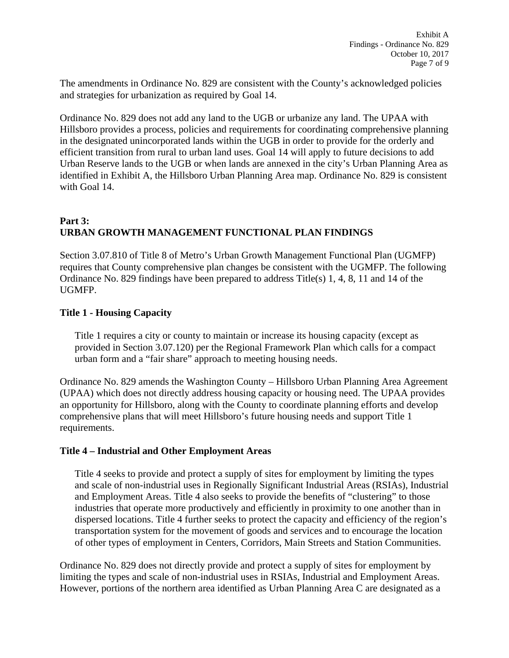The amendments in Ordinance No. 829 are consistent with the County's acknowledged policies and strategies for urbanization as required by Goal 14.

Ordinance No. 829 does not add any land to the UGB or urbanize any land. The UPAA with Hillsboro provides a process, policies and requirements for coordinating comprehensive planning in the designated unincorporated lands within the UGB in order to provide for the orderly and efficient transition from rural to urban land uses. Goal 14 will apply to future decisions to add Urban Reserve lands to the UGB or when lands are annexed in the city's Urban Planning Area as identified in Exhibit A, the Hillsboro Urban Planning Area map. Ordinance No. 829 is consistent with Goal 14.

# **Part 3: URBAN GROWTH MANAGEMENT FUNCTIONAL PLAN FINDINGS**

Section 3.07.810 of Title 8 of Metro's Urban Growth Management Functional Plan (UGMFP) requires that County comprehensive plan changes be consistent with the UGMFP. The following Ordinance No. 829 findings have been prepared to address Title(s) 1, 4, 8, 11 and 14 of the UGMFP.

# **Title 1 - Housing Capacity**

Title 1 requires a city or county to maintain or increase its housing capacity (except as provided in Section 3.07.120) per the Regional Framework Plan which calls for a compact urban form and a "fair share" approach to meeting housing needs.

Ordinance No. 829 amends the Washington County – Hillsboro Urban Planning Area Agreement (UPAA) which does not directly address housing capacity or housing need. The UPAA provides an opportunity for Hillsboro, along with the County to coordinate planning efforts and develop comprehensive plans that will meet Hillsboro's future housing needs and support Title 1 requirements.

# **Title 4 – Industrial and Other Employment Areas**

Title 4 seeks to provide and protect a supply of sites for employment by limiting the types and scale of non-industrial uses in Regionally Significant Industrial Areas (RSIAs), Industrial and Employment Areas. Title 4 also seeks to provide the benefits of "clustering" to those industries that operate more productively and efficiently in proximity to one another than in dispersed locations. Title 4 further seeks to protect the capacity and efficiency of the region's transportation system for the movement of goods and services and to encourage the location of other types of employment in Centers, Corridors, Main Streets and Station Communities.

Ordinance No. 829 does not directly provide and protect a supply of sites for employment by limiting the types and scale of non-industrial uses in RSIAs, Industrial and Employment Areas. However, portions of the northern area identified as Urban Planning Area C are designated as a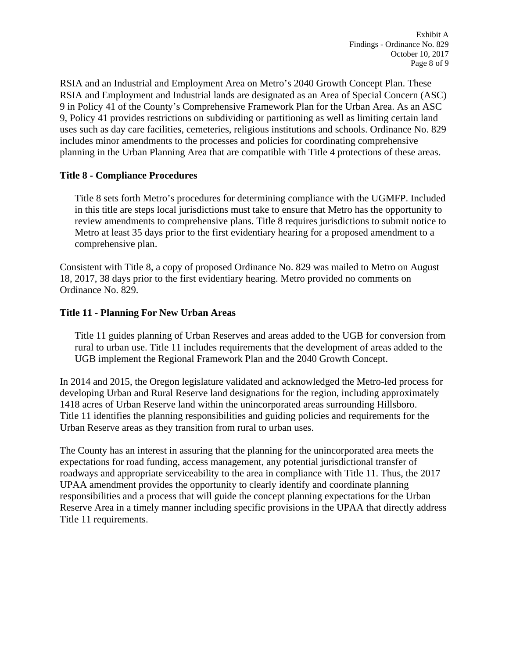RSIA and an Industrial and Employment Area on Metro's 2040 Growth Concept Plan. These RSIA and Employment and Industrial lands are designated as an Area of Special Concern (ASC) 9 in Policy 41 of the County's Comprehensive Framework Plan for the Urban Area. As an ASC 9, Policy 41 provides restrictions on subdividing or partitioning as well as limiting certain land uses such as day care facilities, cemeteries, religious institutions and schools. Ordinance No. 829 includes minor amendments to the processes and policies for coordinating comprehensive planning in the Urban Planning Area that are compatible with Title 4 protections of these areas.

# **Title 8 - Compliance Procedures**

Title 8 sets forth Metro's procedures for determining compliance with the UGMFP. Included in this title are steps local jurisdictions must take to ensure that Metro has the opportunity to review amendments to comprehensive plans. Title 8 requires jurisdictions to submit notice to Metro at least 35 days prior to the first evidentiary hearing for a proposed amendment to a comprehensive plan.

Consistent with Title 8, a copy of proposed Ordinance No. 829 was mailed to Metro on August 18, 2017, 38 days prior to the first evidentiary hearing. Metro provided no comments on Ordinance No. 829.

### **Title 11 - Planning For New Urban Areas**

Title 11 guides planning of Urban Reserves and areas added to the UGB for conversion from rural to urban use. Title 11 includes requirements that the development of areas added to the UGB implement the Regional Framework Plan and the 2040 Growth Concept.

In 2014 and 2015, the Oregon legislature validated and acknowledged the Metro-led process for developing Urban and Rural Reserve land designations for the region, including approximately 1418 acres of Urban Reserve land within the unincorporated areas surrounding Hillsboro. Title 11 identifies the planning responsibilities and guiding policies and requirements for the Urban Reserve areas as they transition from rural to urban uses.

The County has an interest in assuring that the planning for the unincorporated area meets the expectations for road funding, access management, any potential jurisdictional transfer of roadways and appropriate serviceability to the area in compliance with Title 11. Thus, the 2017 UPAA amendment provides the opportunity to clearly identify and coordinate planning responsibilities and a process that will guide the concept planning expectations for the Urban Reserve Area in a timely manner including specific provisions in the UPAA that directly address Title 11 requirements.